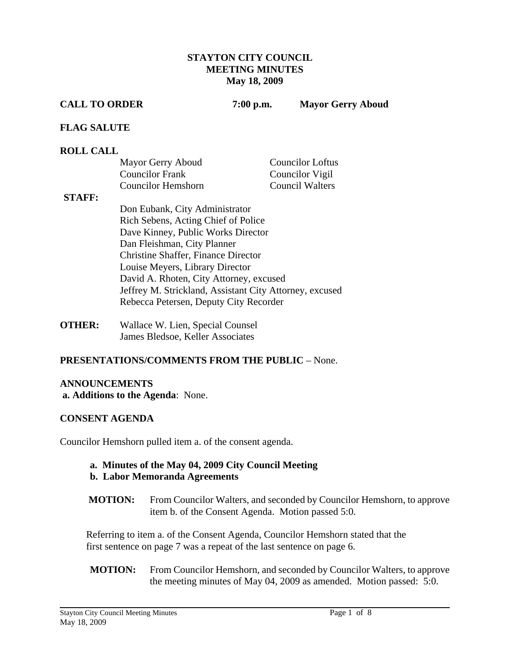### **STAYTON CITY COUNCIL MEETING MINUTES May 18, 2009**

**CALL TO ORDER 7:00 p.m. Mayor Gerry Aboud** 

### **FLAG SALUTE**

#### **ROLL CALL**

| Mayor Gerry Aboud      | <b>Councilor Loftus</b> |
|------------------------|-------------------------|
| <b>Councilor Frank</b> | Councilor Vigil         |
| Councilor Hemshorn     | <b>Council Walters</b>  |

#### **STAFF:**

- Don Eubank, City Administrator Rich Sebens, Acting Chief of Police Dave Kinney, Public Works Director Dan Fleishman, City Planner Christine Shaffer, Finance Director Louise Meyers, Library Director David A. Rhoten, City Attorney, excused Jeffrey M. Strickland, Assistant City Attorney, excused Rebecca Petersen, Deputy City Recorder
- **OTHER:** Wallace W. Lien, Special Counsel James Bledsoe, Keller Associates

# **PRESENTATIONS/COMMENTS FROM THE PUBLIC** – None.

#### **ANNOUNCEMENTS**

 **a. Additions to the Agenda**: None.

# **CONSENT AGENDA**

Councilor Hemshorn pulled item a. of the consent agenda.

# **a. Minutes of the May 04, 2009 City Council Meeting**

# **b. Labor Memoranda Agreements**

**MOTION:** From Councilor Walters, and seconded by Councilor Hemshorn, to approve item b. of the Consent Agenda. Motion passed 5:0.

Referring to item a. of the Consent Agenda, Councilor Hemshorn stated that the first sentence on page 7 was a repeat of the last sentence on page 6.

 **MOTION:** From Councilor Hemshorn, and seconded by Councilor Walters, to approve the meeting minutes of May 04, 2009 as amended. Motion passed: 5:0.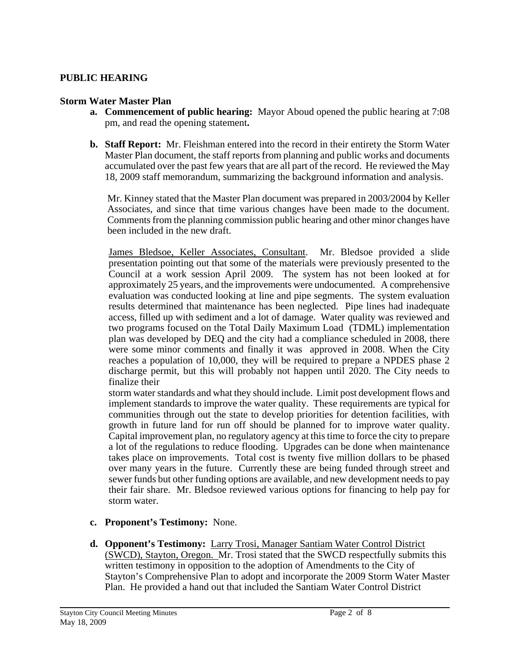# **PUBLIC HEARING**

#### **Storm Water Master Plan**

- **a. Commencement of public hearing:** Mayor Aboud opened the public hearing at 7:08 pm, and read the opening statement**.**
- **b. Staff Report:** Mr. Fleishman entered into the record in their entirety the Storm Water Master Plan document, the staff reports from planning and public works and documents accumulated over the past few years that are all part of the record. He reviewed the May 18, 2009 staff memorandum, summarizing the background information and analysis.

Mr. Kinney stated that the Master Plan document was prepared in 2003/2004 by Keller Associates, and since that time various changes have been made to the document. Comments from the planning commission public hearing and other minor changes have been included in the new draft.

James Bledsoe, Keller Associates, Consultant. Mr. Bledsoe provided a slide presentation pointing out that some of the materials were previously presented to the Council at a work session April 2009. The system has not been looked at for approximately 25 years, and the improvements were undocumented. A comprehensive evaluation was conducted looking at line and pipe segments. The system evaluation results determined that maintenance has been neglected. Pipe lines had inadequate access, filled up with sediment and a lot of damage. Water quality was reviewed and two programs focused on the Total Daily Maximum Load (TDML) implementation plan was developed by DEQ and the city had a compliance scheduled in 2008, there were some minor comments and finally it was approved in 2008. When the City reaches a population of 10,000, they will be required to prepare a NPDES phase 2 discharge permit, but this will probably not happen until 2020. The City needs to finalize their

storm water standards and what they should include. Limit post development flows and implement standards to improve the water quality. These requirements are typical for communities through out the state to develop priorities for detention facilities, with growth in future land for run off should be planned for to improve water quality. Capital improvement plan, no regulatory agency at this time to force the city to prepare a lot of the regulations to reduce flooding. Upgrades can be done when maintenance takes place on improvements. Total cost is twenty five million dollars to be phased over many years in the future. Currently these are being funded through street and sewer funds but other funding options are available, and new development needs to pay their fair share. Mr. Bledsoe reviewed various options for financing to help pay for storm water.

- **c. Proponent's Testimony:** None.
- **d. Opponent's Testimony:** Larry Trosi, Manager Santiam Water Control District (SWCD), Stayton, Oregon. Mr. Trosi stated that the SWCD respectfully submits this written testimony in opposition to the adoption of Amendments to the City of Stayton's Comprehensive Plan to adopt and incorporate the 2009 Storm Water Master Plan. He provided a hand out that included the Santiam Water Control District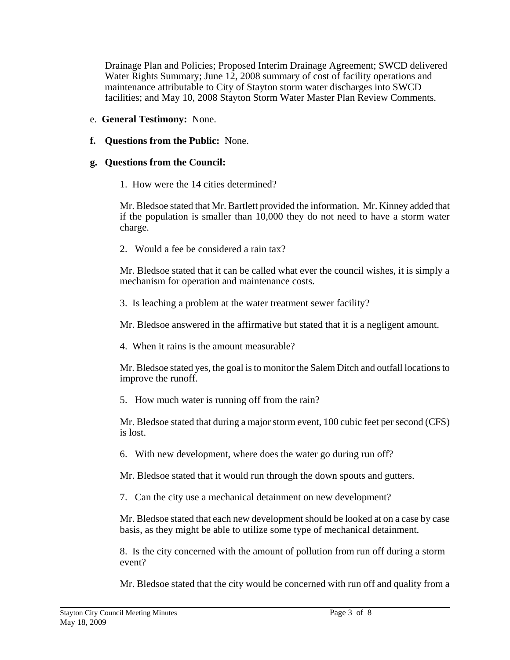Drainage Plan and Policies; Proposed Interim Drainage Agreement; SWCD delivered Water Rights Summary; June 12, 2008 summary of cost of facility operations and maintenance attributable to City of Stayton storm water discharges into SWCD facilities; and May 10, 2008 Stayton Storm Water Master Plan Review Comments.

- e. **General Testimony:** None.
- **f. Questions from the Public:** None.

# **g. Questions from the Council:**

1. How were the 14 cities determined?

 Mr. Bledsoe stated that Mr. Bartlett provided the information. Mr. Kinney added that if the population is smaller than 10,000 they do not need to have a storm water charge.

2. Would a fee be considered a rain tax?

 Mr. Bledsoe stated that it can be called what ever the council wishes, it is simply a mechanism for operation and maintenance costs.

3. Is leaching a problem at the water treatment sewer facility?

Mr. Bledsoe answered in the affirmative but stated that it is a negligent amount.

4. When it rains is the amount measurable?

 Mr. Bledsoe stated yes, the goal is to monitor the Salem Ditch and outfall locations to improve the runoff.

5. How much water is running off from the rain?

 Mr. Bledsoe stated that during a major storm event, 100 cubic feet per second (CFS) is lost.

6. With new development, where does the water go during run off?

Mr. Bledsoe stated that it would run through the down spouts and gutters.

7. Can the city use a mechanical detainment on new development?

 Mr. Bledsoe stated that each new development should be looked at on a case by case basis, as they might be able to utilize some type of mechanical detainment.

 8. Is the city concerned with the amount of pollution from run off during a storm event?

Mr. Bledsoe stated that the city would be concerned with run off and quality from a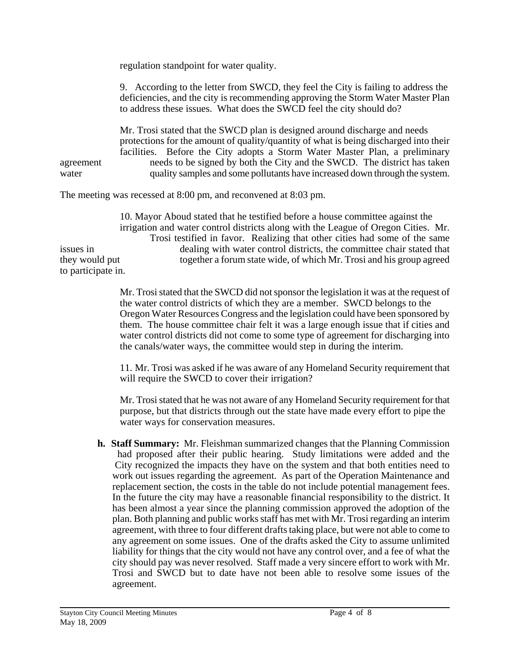regulation standpoint for water quality.

9. According to the letter from SWCD, they feel the City is failing to address the deficiencies, and the city is recommending approving the Storm Water Master Plan to address these issues. What does the SWCD feel the city should do?

 Mr. Trosi stated that the SWCD plan is designed around discharge and needs protections for the amount of quality/quantity of what is being discharged into their facilities. Before the City adopts a Storm Water Master Plan, a preliminary agreement needs to be signed by both the City and the SWCD. The district has taken water quality samples and some pollutants have increased down through the system.

The meeting was recessed at 8:00 pm, and reconvened at 8:03 pm.

 10. Mayor Aboud stated that he testified before a house committee against the irrigation and water control districts along with the League of Oregon Cities. Mr. Trosi testified in favor. Realizing that other cities had some of the same issues in dealing with water control districts, the committee chair stated that they would put together a forum state wide, of which Mr. Trosi and his group agreed to participate in.

> Mr. Trosi stated that the SWCD did not sponsor the legislation it was at the request of the water control districts of which they are a member. SWCD belongs to the Oregon Water Resources Congress and the legislation could have been sponsored by them. The house committee chair felt it was a large enough issue that if cities and water control districts did not come to some type of agreement for discharging into the canals/water ways, the committee would step in during the interim.

> 11. Mr. Trosi was asked if he was aware of any Homeland Security requirement that will require the SWCD to cover their irrigation?

> Mr. Trosi stated that he was not aware of any Homeland Security requirement for that purpose, but that districts through out the state have made every effort to pipe the water ways for conservation measures.

**h. Staff Summary:** Mr. Fleishman summarized changes that the Planning Commission had proposed after their public hearing. Study limitations were added and the City recognized the impacts they have on the system and that both entities need to work out issues regarding the agreement. As part of the Operation Maintenance and replacement section, the costs in the table do not include potential management fees. In the future the city may have a reasonable financial responsibility to the district. It has been almost a year since the planning commission approved the adoption of the plan. Both planning and public works staff has met with Mr. Trosi regarding an interim agreement, with three to four different drafts taking place, but were not able to come to any agreement on some issues. One of the drafts asked the City to assume unlimited liability for things that the city would not have any control over, and a fee of what the city should pay was never resolved. Staff made a very sincere effort to work with Mr. Trosi and SWCD but to date have not been able to resolve some issues of the agreement.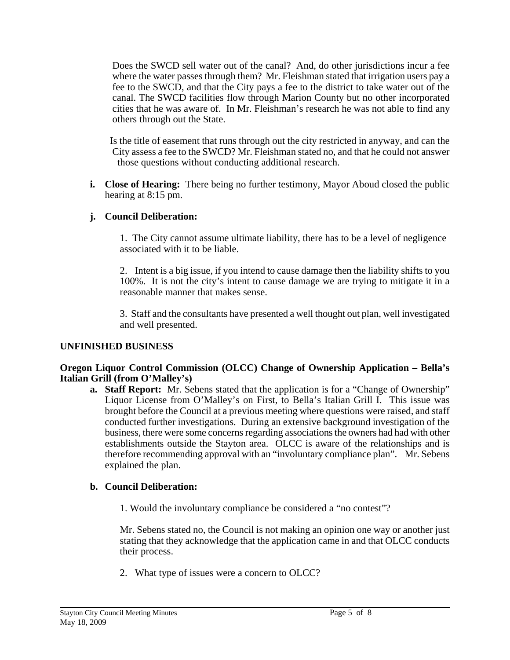Does the SWCD sell water out of the canal? And, do other jurisdictions incur a fee where the water passes through them? Mr. Fleishman stated that irrigation users pay a fee to the SWCD, and that the City pays a fee to the district to take water out of the canal. The SWCD facilities flow through Marion County but no other incorporated cities that he was aware of. In Mr. Fleishman's research he was not able to find any others through out the State.

 Is the title of easement that runs through out the city restricted in anyway, and can the City assess a fee to the SWCD? Mr. Fleishman stated no, and that he could not answer those questions without conducting additional research.

**i. Close of Hearing:** There being no further testimony, Mayor Aboud closed the public hearing at 8:15 pm.

# **j. Council Deliberation:**

 1. The City cannot assume ultimate liability, there has to be a level of negligence associated with it to be liable.

2. Intent is a big issue, if you intend to cause damage then the liability shifts to you 100%. It is not the city's intent to cause damage we are trying to mitigate it in a reasonable manner that makes sense.

3. Staff and the consultants have presented a well thought out plan, well investigated and well presented.

# **UNFINISHED BUSINESS**

#### **Oregon Liquor Control Commission (OLCC) Change of Ownership Application – Bella's Italian Grill (from O'Malley's)**

**a. Staff Report:** Mr. Sebens stated that the application is for a "Change of Ownership" Liquor License from O'Malley's on First, to Bella's Italian Grill I. This issue was brought before the Council at a previous meeting where questions were raised, and staff conducted further investigations. During an extensive background investigation of the business, there were some concerns regarding associations the owners had had with other establishments outside the Stayton area. OLCC is aware of the relationships and is therefore recommending approval with an "involuntary compliance plan". Mr. Sebens explained the plan.

# **b. Council Deliberation:**

1. Would the involuntary compliance be considered a "no contest"?

 Mr. Sebens stated no, the Council is not making an opinion one way or another just stating that they acknowledge that the application came in and that OLCC conducts their process.

2. What type of issues were a concern to OLCC?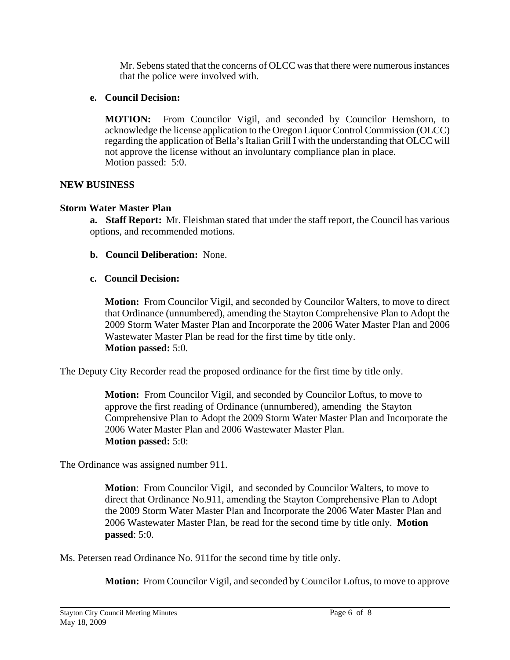Mr. Sebens stated that the concerns of OLCC was that there were numerous instances that the police were involved with.

# **e. Council Decision:**

**MOTION:** From Councilor Vigil, and seconded by Councilor Hemshorn, to acknowledge the license application to the Oregon Liquor Control Commission (OLCC) regarding the application of Bella's Italian Grill I with the understanding that OLCC will not approve the license without an involuntary compliance plan in place. Motion passed: 5:0.

# **NEW BUSINESS**

# **Storm Water Master Plan**

**a. Staff Report:** Mr. Fleishman stated that under the staff report, the Council has various options, and recommended motions.

- **b. Council Deliberation:** None.
- **c. Council Decision:**

**Motion:** From Councilor Vigil, and seconded by Councilor Walters, to move to direct that Ordinance (unnumbered), amending the Stayton Comprehensive Plan to Adopt the 2009 Storm Water Master Plan and Incorporate the 2006 Water Master Plan and 2006 Wastewater Master Plan be read for the first time by title only. **Motion passed:** 5:0.

The Deputy City Recorder read the proposed ordinance for the first time by title only.

**Motion:** From Councilor Vigil, and seconded by Councilor Loftus, to move to approve the first reading of Ordinance (unnumbered), amending the Stayton Comprehensive Plan to Adopt the 2009 Storm Water Master Plan and Incorporate the 2006 Water Master Plan and 2006 Wastewater Master Plan. **Motion passed:** 5:0:

The Ordinance was assigned number 911.

**Motion**: From Councilor Vigil, and seconded by Councilor Walters, to move to direct that Ordinance No.911, amending the Stayton Comprehensive Plan to Adopt the 2009 Storm Water Master Plan and Incorporate the 2006 Water Master Plan and 2006 Wastewater Master Plan, be read for the second time by title only. **Motion passed**: 5:0.

Ms. Petersen read Ordinance No. 911for the second time by title only.

**Motion:** From Councilor Vigil, and seconded by Councilor Loftus, to move to approve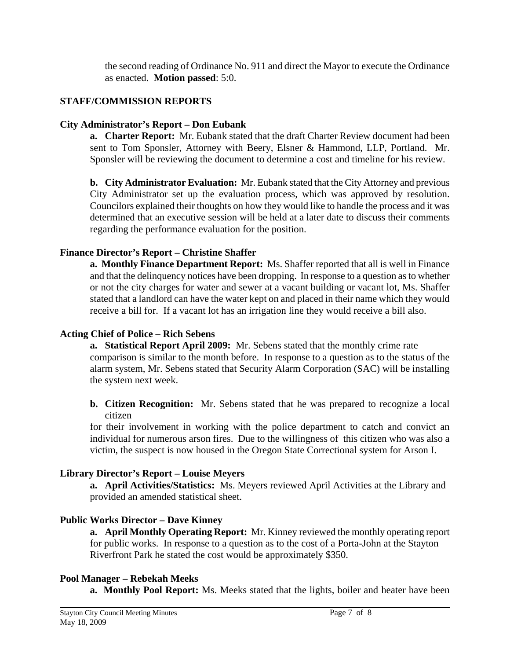the second reading of Ordinance No. 911 and direct the Mayor to execute the Ordinance as enacted. **Motion passed**: 5:0.

# **STAFF/COMMISSION REPORTS**

# **City Administrator's Report – Don Eubank**

**a. Charter Report:** Mr. Eubank stated that the draft Charter Review document had been sent to Tom Sponsler, Attorney with Beery, Elsner & Hammond, LLP, Portland. Mr. Sponsler will be reviewing the document to determine a cost and timeline for his review.

**b. City Administrator Evaluation:** Mr. Eubank stated that the City Attorney and previous City Administrator set up the evaluation process, which was approved by resolution. Councilors explained their thoughts on how they would like to handle the process and it was determined that an executive session will be held at a later date to discuss their comments regarding the performance evaluation for the position.

# **Finance Director's Report – Christine Shaffer**

**a. Monthly Finance Department Report:** Ms. Shaffer reported that all is well in Finance and that the delinquency notices have been dropping. In response to a question as to whether or not the city charges for water and sewer at a vacant building or vacant lot, Ms. Shaffer stated that a landlord can have the water kept on and placed in their name which they would receive a bill for. If a vacant lot has an irrigation line they would receive a bill also.

# **Acting Chief of Police – Rich Sebens**

**a. Statistical Report April 2009:** Mr. Sebens stated that the monthly crime rate comparison is similar to the month before. In response to a question as to the status of the alarm system, Mr. Sebens stated that Security Alarm Corporation (SAC) will be installing the system next week.

**b. Citizen Recognition:** Mr. Sebens stated that he was prepared to recognize a local citizen

for their involvement in working with the police department to catch and convict an individual for numerous arson fires. Due to the willingness of this citizen who was also a victim, the suspect is now housed in the Oregon State Correctional system for Arson I.

# **Library Director's Report – Louise Meyers**

**a. April Activities/Statistics:** Ms. Meyers reviewed April Activities at the Library and provided an amended statistical sheet.

# **Public Works Director – Dave Kinney**

**a. April Monthly Operating Report:** Mr. Kinney reviewed the monthly operating report for public works. In response to a question as to the cost of a Porta-John at the Stayton Riverfront Park he stated the cost would be approximately \$350.

# **Pool Manager – Rebekah Meeks**

 **a. Monthly Pool Report:** Ms. Meeks stated that the lights, boiler and heater have been